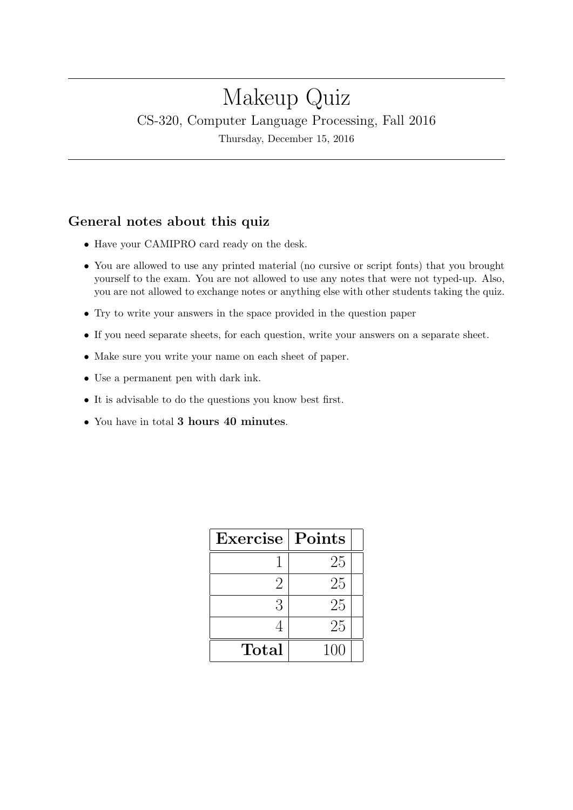# Makeup Quiz CS-320, Computer Language Processing, Fall 2016

Thursday, December 15, 2016

## General notes about this quiz

- Have your CAMIPRO card ready on the desk.
- You are allowed to use any printed material (no cursive or script fonts) that you brought yourself to the exam. You are not allowed to use any notes that were not typed-up. Also, you are not allowed to exchange notes or anything else with other students taking the quiz.
- Try to write your answers in the space provided in the question paper
- If you need separate sheets, for each question, write your answers on a separate sheet.
- Make sure you write your name on each sheet of paper.
- Use a permanent pen with dark ink.
- It is advisable to do the questions you know best first.
- You have in total 3 hours 40 minutes.

| Exercise | Points |  |
|----------|--------|--|
|          | 25     |  |
| 2        | 25     |  |
| 3        | 25     |  |
|          | 25     |  |
| Total    | 100    |  |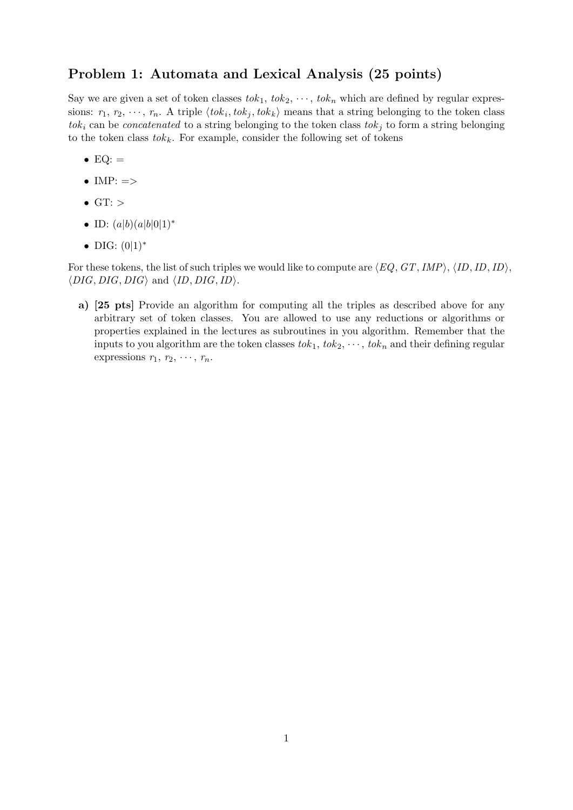#### Problem 1: Automata and Lexical Analysis (25 points)

Say we are given a set of token classes  $tok_1, tok_2, \cdots, tok_n$  which are defined by regular expressions:  $r_1, r_2, \dots, r_n$ . A triple  $\langle tok_i, tok_j, tok_k \rangle$  means that a string belonging to the token class tok<sub>i</sub> can be *concatenated* to a string belonging to the token class tok<sub>j</sub> to form a string belonging to the token class  $tok_k$ . For example, consider the following set of tokens

- $EQ:$   $=$
- $\bullet$  IMP:  $\Rightarrow$
- $\bullet$  GT:  $>$
- ID:  $(a|b)(a|b|0|1)^*$
- DIG:  $(0|1)^*$

For these tokens, the list of such triples we would like to compute are  $\langle EQ, GT,IMP \rangle, \langle ID, ID, ID \rangle,$  $\langle DIG, DIG, DIG \rangle$  and  $\langle ID, DIG,ID \rangle$ .

a) [25 pts] Provide an algorithm for computing all the triples as described above for any arbitrary set of token classes. You are allowed to use any reductions or algorithms or properties explained in the lectures as subroutines in you algorithm. Remember that the inputs to you algorithm are the token classes  $tok_1, tok_2, \dots, tok_n$  and their defining regular expressions  $r_1, r_2, \cdots, r_n$ .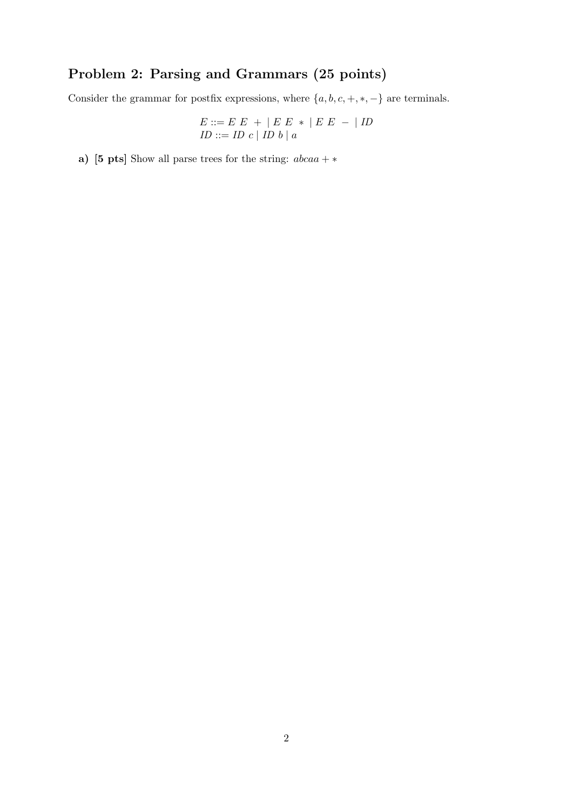# Problem 2: Parsing and Grammars (25 points)

Consider the grammar for postfix expressions, where  $\{a,b,c,+,*,-\}$  are terminals.

$$
E ::= E E + | E E * | E E - | ID
$$
  

$$
ID ::= ID c | ID b | a
$$

a) [5 pts] Show all parse trees for the string:  $abcaa + *$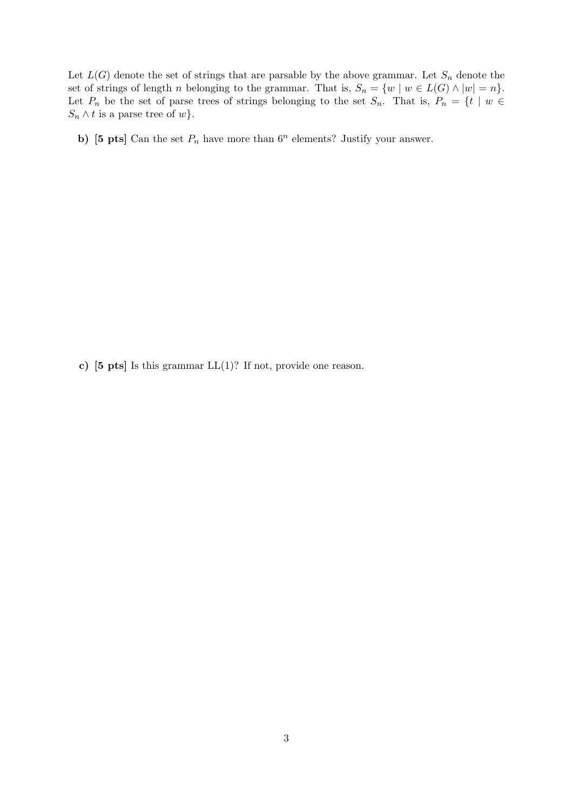Let  $L(G)$  denote the set of strings that are parsable by the above grammar. Let  $S_n$  denote the set of strings of length n belonging to the grammar. That is,  $S_n = \{w \mid w \in L(G) \wedge |w| = n\}.$ Let  $P_n$  be the set of parse trees of strings belonging to the set  $S_n$ . That is,  $P_n = \{t \mid w \in$  $S_n \wedge t$  is a parse tree of w.

b) [5 pts] Can the set  $P_n$  have more than  $6^n$  elements? Justify your answer.

c)  $[5 \text{ pts}]$  Is this grammar  $LL(1)$ ? If not, provide one reason.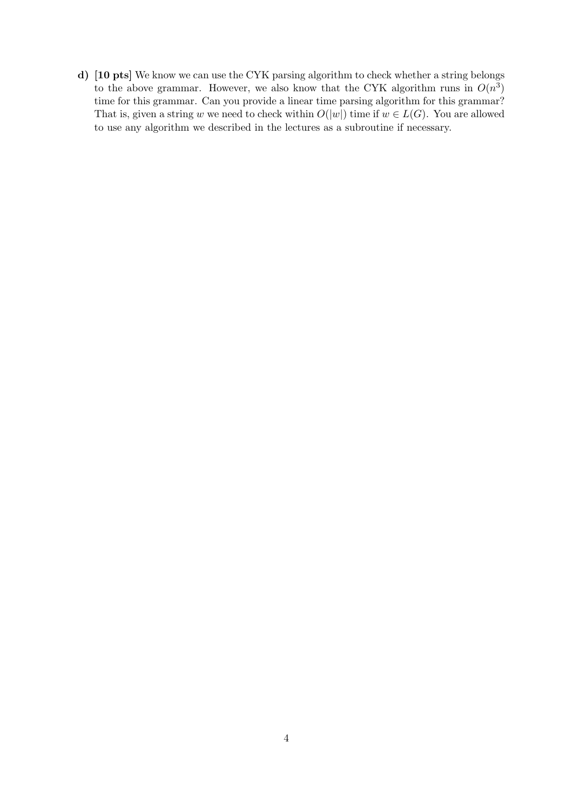d) [10 pts] We know we can use the CYK parsing algorithm to check whether a string belongs to the above grammar. However, we also know that the CYK algorithm runs in  $O(n^3)$ time for this grammar. Can you provide a linear time parsing algorithm for this grammar? That is, given a string w we need to check within  $O(|w|)$  time if  $w \in L(G)$ . You are allowed to use any algorithm we described in the lectures as a subroutine if necessary.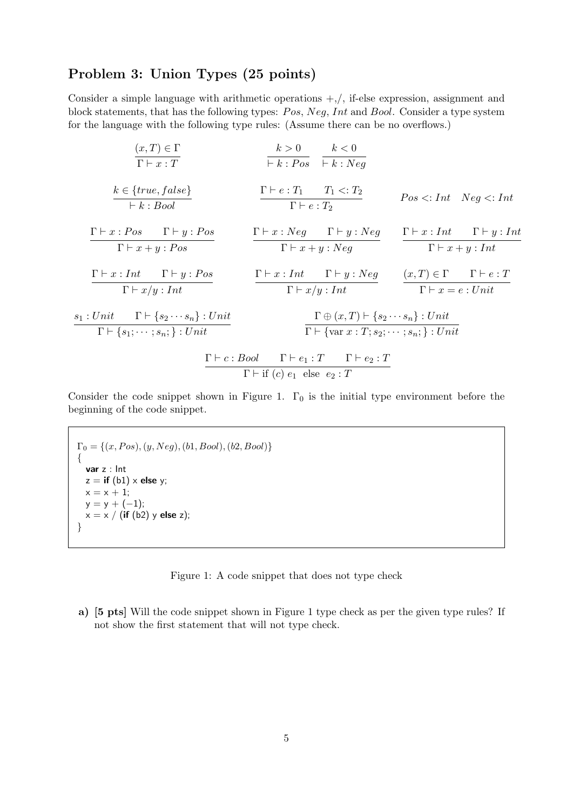### Problem 3: Union Types (25 points)

Consider a simple language with arithmetic operations +,/, if-else expression, assignment and block statements, that has the following types: Pos, Neg, Int and Bool. Consider a type system for the language with the following type rules: (Assume there can be no overflows.)

$$
\frac{(x,T) \in \Gamma}{\Gamma \vdash x : T} \qquad \frac{k > 0}{\vdash k : Pos} \qquad \frac{k < 0}{\vdash k : Neg}
$$
\n
$$
\frac{k \in \{true, false\}}{\vdash k : Bool} \qquad \frac{\Gamma \vdash e : T_1 \qquad T_1 < : T_2}{\Gamma \vdash e : T_2} \qquad Pos < : Int \quad Neg < : Int
$$
\n
$$
\frac{\Gamma \vdash x : Pos}{\Gamma \vdash x + y : Pos} \qquad \frac{\Gamma \vdash x : Neg \qquad \Gamma \vdash y : Neg}{\Gamma \vdash x + y : Neg} \qquad \frac{\Gamma \vdash x : Int \qquad \Gamma \vdash y : Int}{\Gamma \vdash x + y : Int} \qquad \frac{\Gamma \vdash x : Int \qquad \Gamma \vdash y : P \vdash x}{\Gamma \vdash x / y : Int} \qquad \frac{\Gamma \vdash x : Int \qquad \Gamma \vdash y : Neg}{\Gamma \vdash x / y : Int} \qquad \frac{\Gamma \vdash x : Int \qquad \Gamma \vdash y : Neg}{\Gamma \vdash x / y : Int} \qquad \frac{\Gamma \vdash x : Int \qquad \Gamma \vdash y : Neg}{\Gamma \vdash x = e : Unit} \qquad \frac{\Gamma \vdash x : Int \qquad \Gamma \vdash y : P \vdash x}{\Gamma \vdash x = e : Unit} \qquad \frac{\Gamma \vdash x : T}{\Gamma \vdash \{s_1; \cdots; s_n\} : Unit} \qquad \frac{\Gamma \vdash c : Boolean \quad \Gamma \vdash e_1 : T \qquad \Gamma \vdash e_2 : T}{\Gamma \vdash \Gamma \vdash (c) e_1 \text{ else } e_2 : T} \qquad \frac{\Gamma \vdash c : T \qquad \Gamma \vdash e_2 : T}{\Gamma \vdash (c) e_1 \text{ else } e_2 : T} \qquad \frac{\Gamma \vdash c : T \qquad \Gamma \vdash e_2 : T}{\Gamma \vdash x \text{ else } e_2 : T}
$$

Consider the code snippet shown in Figure 1.  $\Gamma_0$  is the initial type environment before the beginning of the code snippet.

 $\Gamma_0 = \{(x, Pos), (y, Neg), (b1, Bool), (b2, Bool)\}$ { var z : Int  $z =$  if (b1)  $\times$  else y;  $x = x + 1;$  $y = y + (-1);$  $x = x / (if (b2) y else z);$ }

Figure 1: A code snippet that does not type check

a) [5 pts] Will the code snippet shown in Figure 1 type check as per the given type rules? If not show the first statement that will not type check.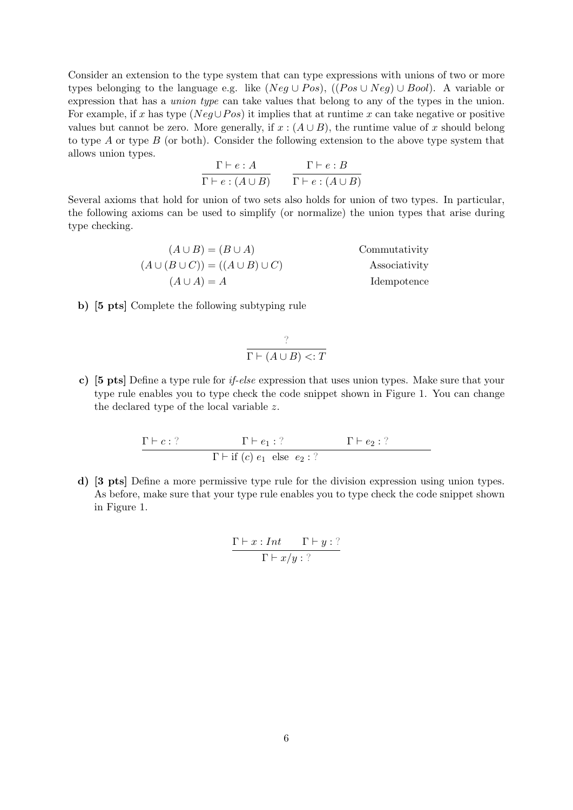Consider an extension to the type system that can type expressions with unions of two or more types belonging to the language e.g. like (Neg  $\cup Pos$ ), ((Pos  $\cup Neg$ )  $\cup Bool$ ). A variable or expression that has a union type can take values that belong to any of the types in the union. For example, if x has type ( $Neg\cup Pos$ ) it implies that at runtime x can take negative or positive values but cannot be zero. More generally, if  $x : (A \cup B)$ , the runtime value of x should belong to type A or type B (or both). Consider the following extension to the above type system that allows union types.

$$
\frac{\Gamma \vdash e : A}{\Gamma \vdash e : (A \cup B)} \qquad \frac{\Gamma \vdash e : B}{\Gamma \vdash e : (A \cup B)}
$$

Several axioms that hold for union of two sets also holds for union of two types. In particular, the following axioms can be used to simplify (or normalize) the union types that arise during type checking.

$$
(A \cup B) = (B \cup A)
$$
  
\n
$$
(A \cup (B \cup C)) = ((A \cup B) \cup C)
$$
  
\n
$$
(A \cup A) = A
$$
  
\nCommutativity  
\nAsociativity  
\nIdempotence

b) [5 pts] Complete the following subtyping rule

$$
\frac{?}{\Gamma \vdash (A \cup B) < : T}
$$

c) [5 pts] Define a type rule for if-else expression that uses union types. Make sure that your type rule enables you to type check the code snippet shown in Figure 1. You can change the declared type of the local variable z.

$$
\frac{\Gamma \vdash c : ? \qquad \Gamma \vdash e_1 : ? \qquad \Gamma \vdash e_2 : ?}{\Gamma \vdash \text{if } (c) \ e_1 \text{ else } e_2 : ?}
$$

d) [3 pts] Define a more permissive type rule for the division expression using union types. As before, make sure that your type rule enables you to type check the code snippet shown in Figure 1.

$$
\frac{\Gamma \vdash x : Int \qquad \Gamma \vdash y : ?}{\Gamma \vdash x/y : ?}
$$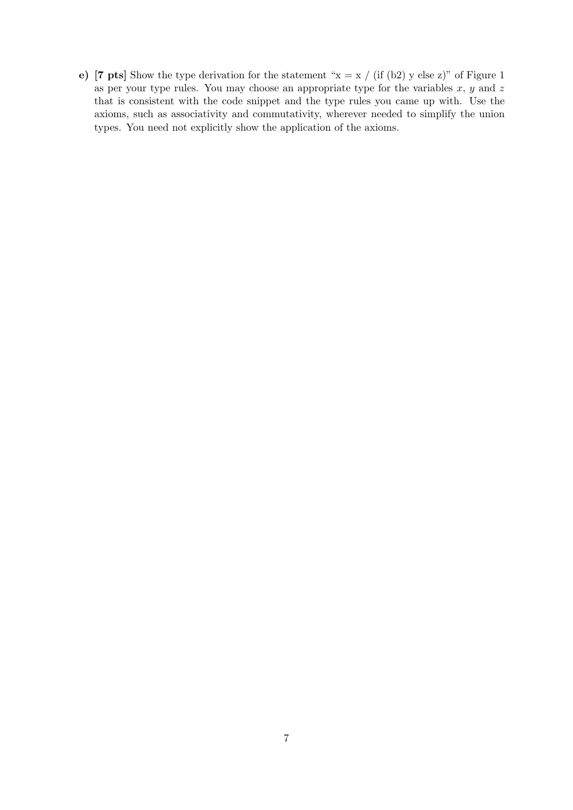e) [7 pts] Show the type derivation for the statement " $x = x / (if (b2) y else z)$ " of Figure 1 as per your type rules. You may choose an appropriate type for the variables  $x, y$  and  $z$ that is consistent with the code snippet and the type rules you came up with. Use the axioms, such as associativity and commutativity, wherever needed to simplify the union types. You need not explicitly show the application of the axioms.